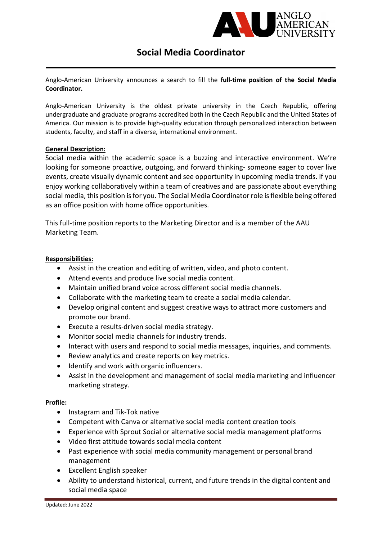

## Social Media Coordinator

Anglo-American University announces a search to fill the full-time position of the Social Media Coordinator.

Anglo-American University is the oldest private university in the Czech Republic, offering undergraduate and graduate programs accredited both in the Czech Republic and the United States of America. Our mission is to provide high-quality education through personalized interaction between students, faculty, and staff in a diverse, international environment.

## General Description:

Social media within the academic space is a buzzing and interactive environment. We're looking for someone proactive, outgoing, and forward thinking- someone eager to cover live events, create visually dynamic content and see opportunity in upcoming media trends. If you enjoy working collaboratively within a team of creatives and are passionate about everything social media, this position is for you. The Social Media Coordinator role is flexible being offered as an office position with home office opportunities.

This full-time position reports to the Marketing Director and is a member of the AAU Marketing Team.

## Responsibilities:

- Assist in the creation and editing of written, video, and photo content.
- Attend events and produce live social media content.
- Maintain unified brand voice across different social media channels.
- Collaborate with the marketing team to create a social media calendar.
- Develop original content and suggest creative ways to attract more customers and promote our brand.
- Execute a results-driven social media strategy.
- Monitor social media channels for industry trends.
- Interact with users and respond to social media messages, inquiries, and comments.
- Review analytics and create reports on key metrics.
- Identify and work with organic influencers.
- Assist in the development and management of social media marketing and influencer marketing strategy.

## Profile:

- Instagram and Tik-Tok native
- Competent with Canva or alternative social media content creation tools
- Experience with Sprout Social or alternative social media management platforms
- Video first attitude towards social media content
- Past experience with social media community management or personal brand management
- Excellent English speaker
- Ability to understand historical, current, and future trends in the digital content and social media space